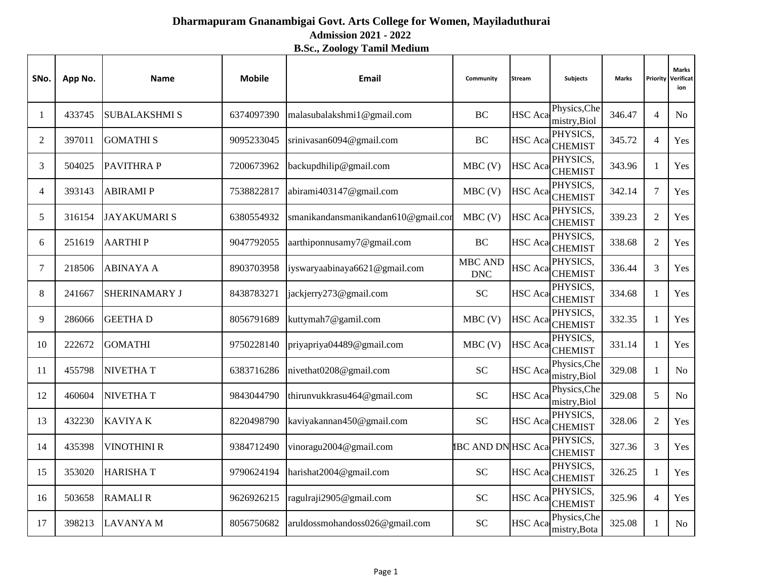## **Admission 2021 - 2022 Dharmapuram Gnanambigai Govt. Arts College for Women, Mayiladuthurai**

**B.Sc., Zoology Tamil Medium**

| SNo.           | App No. | <b>Name</b>          | <b>Mobile</b> | Email                               | Community                    | <b>Stream</b>  | <b>Subjects</b>              | <b>Marks</b> | Priority       | <b>Marks</b><br>Verificat<br>ion |
|----------------|---------|----------------------|---------------|-------------------------------------|------------------------------|----------------|------------------------------|--------------|----------------|----------------------------------|
| 1              | 433745  | <b>SUBALAKSHMI S</b> | 6374097390    | malasubalakshmi1@gmail.com          | <b>BC</b>                    | <b>HSC</b> Aca | Physics, Che<br>mistry, Biol | 346.47       | $\overline{4}$ | N <sub>o</sub>                   |
| 2              | 397011  | <b>GOMATHI S</b>     | 9095233045    | srinivasan6094@gmail.com            | <b>BC</b>                    | <b>HSC</b> Aca | PHYSICS,<br><b>CHEMIST</b>   | 345.72       | $\overline{4}$ | Yes                              |
| 3              | 504025  | <b>PAVITHRAP</b>     | 7200673962    | backupdhilip@gmail.com              | $MBC$ (V)                    | <b>HSC</b> Aca | PHYSICS,<br><b>CHEMIST</b>   | 343.96       | 1              | Yes                              |
| $\overline{4}$ | 393143  | ABIRAMI P            | 7538822817    | abirami403147@gmail.com             | $MBC$ (V)                    | <b>HSC</b> Aca | PHYSICS,<br><b>CHEMIST</b>   | 342.14       | $\overline{7}$ | Yes                              |
| 5              | 316154  | <b>JAYAKUMARIS</b>   | 6380554932    | smanikandansmanikandan610@gmail.com | $MBC$ (V)                    | <b>HSC</b> Aca | PHYSICS,<br><b>CHEMIST</b>   | 339.23       | $\overline{2}$ | Yes                              |
| 6              | 251619  | <b>AARTHIP</b>       | 9047792055    | aarthiponnusamy7@gmail.com          | <b>BC</b>                    | <b>HSC</b> Aca | PHYSICS,<br><b>CHEMIST</b>   | 338.68       | $\overline{2}$ | Yes                              |
| 7              | 218506  | <b>ABINAYA A</b>     | 8903703958    | iyswaryaabinaya6621@gmail.com       | <b>MBC AND</b><br><b>DNC</b> | HSC Aca        | PHYSICS,<br><b>CHEMIST</b>   | 336.44       | 3              | Yes                              |
| 8              | 241667  | SHERINAMARY J        | 8438783271    | jackjerry273@gmail.com              | <b>SC</b>                    | <b>HSC</b> Aca | PHYSICS,<br><b>CHEMIST</b>   | 334.68       | $\mathbf{1}$   | Yes                              |
| 9              | 286066  | <b>GEETHAD</b>       | 8056791689    | kuttymah7@gamil.com                 | $MBC$ (V)                    | <b>HSC</b> Aca | PHYSICS,<br><b>CHEMIST</b>   | 332.35       | $\mathbf{1}$   | Yes                              |
| 10             | 222672  | <b>GOMATHI</b>       | 9750228140    | priyapriya04489@gmail.com           | $MBC$ (V)                    | <b>HSC</b> Aca | PHYSICS,<br><b>CHEMIST</b>   | 331.14       | $\mathbf{1}$   | Yes                              |
| 11             | 455798  | <b>NIVETHAT</b>      | 6383716286    | nivethat0208@gmail.com              | <b>SC</b>                    | <b>HSC</b> Aca | Physics, Che<br>mistry, Biol | 329.08       | $\mathbf{1}$   | N <sub>o</sub>                   |
| 12             | 460604  | <b>NIVETHAT</b>      | 9843044790    | thirunvukkrasu464@gmail.com         | <b>SC</b>                    | <b>HSC</b> Aca | Physics, Che<br>mistry, Biol | 329.08       | 5              | N <sub>o</sub>                   |
| 13             | 432230  | <b>KAVIYAK</b>       | 8220498790    | kaviyakannan450@gmail.com           | <b>SC</b>                    | <b>HSC</b> Aca | PHYSICS,<br><b>CHEMIST</b>   | 328.06       | $\overline{2}$ | Yes                              |
| 14             | 435398  | <b>VINOTHINI R</b>   | 9384712490    | vinoragu2004@gmail.com              | <b>IBC AND DN HSC Aca</b>    |                | PHYSICS,<br><b>CHEMIST</b>   | 327.36       | 3              | Yes                              |
| 15             | 353020  | <b>HARISHAT</b>      | 9790624194    | harishat2004@gmail.com              | <b>SC</b>                    | <b>HSC</b> Aca | PHYSICS,<br><b>CHEMIST</b>   | 326.25       | $\mathbf{1}$   | Yes                              |
| 16             | 503658  | <b>RAMALIR</b>       | 9626926215    | ragulraji2905@gmail.com             | <b>SC</b>                    | <b>HSC</b> Aca | PHYSICS,<br><b>CHEMIST</b>   | 325.96       | $\overline{4}$ | Yes                              |
| 17             | 398213  | <b>LAVANYAM</b>      | 8056750682    | aruldossmohandoss026@gmail.com      | <b>SC</b>                    | <b>HSC</b> Aca | Physics, Che<br>mistry, Bota | 325.08       | 1              | N <sub>o</sub>                   |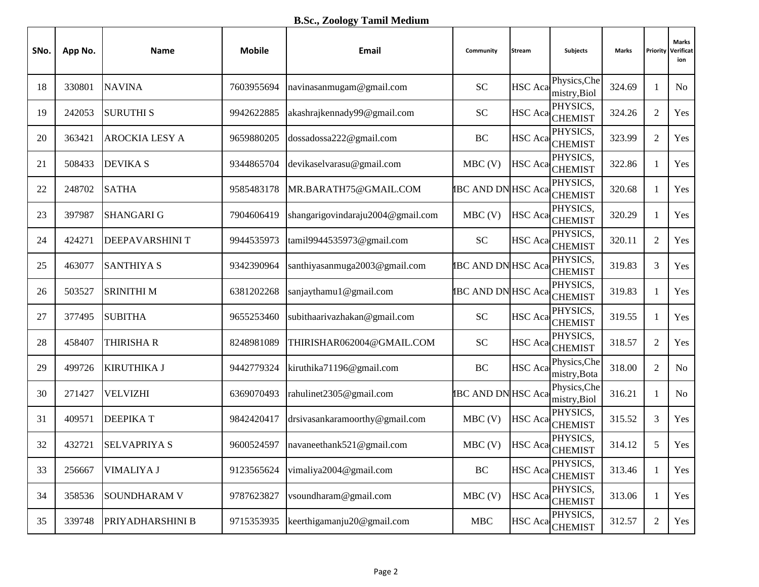| SNo. | App No. | <b>Name</b>            | <b>Mobile</b> | Email                             | Community                 | <b>Stream</b>  | Subjects                     | <b>Marks</b> | Priority       | <b>Marks</b><br>Verificat<br>ion |
|------|---------|------------------------|---------------|-----------------------------------|---------------------------|----------------|------------------------------|--------------|----------------|----------------------------------|
| 18   | 330801  | <b>NAVINA</b>          | 7603955694    | navinasanmugam@gmail.com          | <b>SC</b>                 | <b>HSC</b> Aca | Physics, Che<br>mistry, Biol | 324.69       | 1              | <b>No</b>                        |
| 19   | 242053  | <b>SURUTHIS</b>        | 9942622885    | akashrajkennady99@gmail.com       | <b>SC</b>                 |                | PHYSICS,<br>HSC Aca CHEMIST  | 324.26       | $\overline{2}$ | Yes                              |
| 20   | 363421  | <b>AROCKIA LESY A</b>  | 9659880205    | dossadossa222@gmail.com           | BC                        | <b>HSC</b> Aca | PHYSICS,<br><b>CHEMIST</b>   | 323.99       | $\overline{2}$ | Yes                              |
| 21   | 508433  | <b>DEVIKA S</b>        | 9344865704    | devikaselvarasu@gmail.com         | $MBC$ (V)                 | <b>HSC</b> Aca | PHYSICS,<br><b>CHEMIST</b>   | 322.86       | $\mathbf{1}$   | Yes                              |
| 22   | 248702  | <b>SATHA</b>           | 9585483178    | MR.BARATH75@GMAIL.COM             | <b>IBC AND DN HSC Aca</b> |                | PHYSICS,<br><b>CHEMIST</b>   | 320.68       | 1              | Yes                              |
| 23   | 397987  | <b>SHANGARI G</b>      | 7904606419    | shangarigovindaraju2004@gmail.com | $MBC$ (V)                 |                | PHYSICS,<br>HSC Aca CHEMIST  | 320.29       | $\mathbf{1}$   | Yes                              |
| 24   | 424271  | <b>DEEPAVARSHINI T</b> | 9944535973    | tamil9944535973@gmail.com         | <b>SC</b>                 |                | PHYSICS,<br>HSC Aca CHEMIST  | 320.11       | $\overline{2}$ | Yes                              |
| 25   | 463077  | <b>SANTHIYA S</b>      | 9342390964    | santhiyasanmuga2003@gmail.com     | <b>IBC AND DN HSC Aca</b> |                | PHYSICS,<br><b>CHEMIST</b>   | 319.83       | 3              | Yes                              |
| 26   | 503527  | <b>SRINITHIM</b>       | 6381202268    | sanjaythamu1@gmail.com            | <b>IBC AND DN HSC Aca</b> |                | PHYSICS,<br><b>CHEMIST</b>   | 319.83       | 1              | Yes                              |
| 27   | 377495  | <b>SUBITHA</b>         | 9655253460    | subithaarivazhakan@gmail.com      | <b>SC</b>                 | <b>HSC</b> Aca | PHYSICS,<br><b>CHEMIST</b>   | 319.55       | $\mathbf{1}$   | Yes                              |
| 28   | 458407  | <b>THIRISHAR</b>       | 8248981089    | THIRISHAR062004@GMAIL.COM         | <b>SC</b>                 |                | PHYSICS,<br>HSC Aca CHEMIST  | 318.57       | $\overline{2}$ | Yes                              |
| 29   | 499726  | <b>KIRUTHIKA J</b>     | 9442779324    | kiruthika71196@gmail.com          | BC                        | <b>HSC</b> Aca | Physics, Che<br>mistry, Bota | 318.00       | $\sqrt{2}$     | N <sub>o</sub>                   |
| 30   | 271427  | <b>VELVIZHI</b>        | 6369070493    | rahulinet2305@gmail.com           | <b>IBC AND DN HSC Aca</b> |                | Physics, Che<br>mistry, Biol | 316.21       | $\mathbf{1}$   | N <sub>o</sub>                   |
| 31   | 409571  | <b>DEEPIKAT</b>        | 9842420417    | drsivasankaramoorthy@gmail.com    | $MBC$ (V)                 | HSC Aca        | PHYSICS,<br><b>CHEMIST</b>   | 315.52       | 3              | Yes                              |
| 32   | 432721  | <b>SELVAPRIYA S</b>    | 9600524597    | navaneethank521@gmail.com         | $MBC$ (V)                 | <b>HSC</b> Aca | PHYSICS,<br><b>CHEMIST</b>   | 314.12       | 5              | Yes                              |
| 33   | 256667  | VIMALIYA J             | 9123565624    | vimaliya2004@gmail.com            | BC                        | <b>HSC</b> Aca | PHYSICS,<br><b>CHEMIST</b>   | 313.46       | $\mathbf{1}$   | Yes                              |
| 34   | 358536  | <b>SOUNDHARAM V</b>    | 9787623827    | vsoundharam@gmail.com             | MBC(V)                    | <b>HSC</b> Aca | PHYSICS,<br><b>CHEMIST</b>   | 313.06       | $\mathbf{1}$   | Yes                              |
| 35   | 339748  | PRIYADHARSHINI B       | 9715353935    | keerthigamanju20@gmail.com        | <b>MBC</b>                |                | PHYSICS,<br>HSC Aca CHEMIST  | 312.57       | $\overline{2}$ | Yes                              |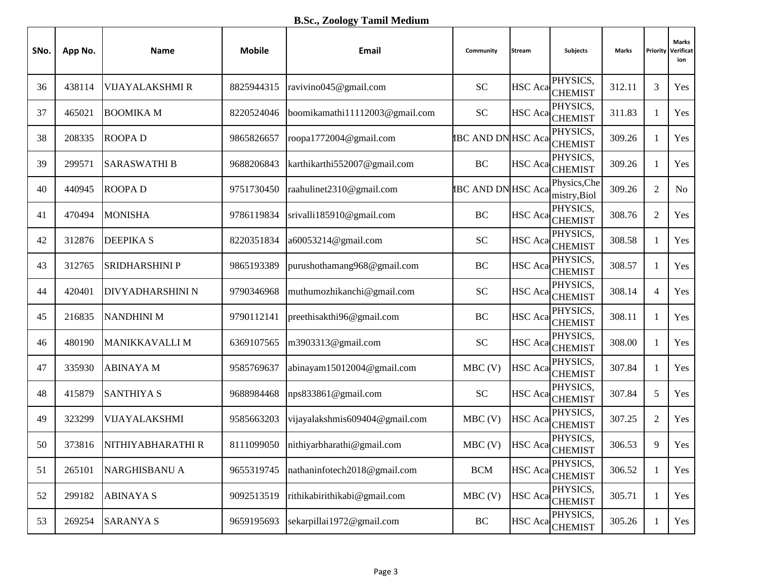## **B.Sc., Zoology Tamil Medium**

| SNo. | App No. | <b>Name</b>           | <b>Mobile</b> | Email                          | Community                 | <b>Stream</b>  | Subjects                     | <b>Marks</b> |                  | <b>Marks</b><br><b>Priority Verificat</b><br>ion |
|------|---------|-----------------------|---------------|--------------------------------|---------------------------|----------------|------------------------------|--------------|------------------|--------------------------------------------------|
| 36   | 438114  | VIJAYALAKSHMI R       | 8825944315    | ravivino045@gmail.com          | <b>SC</b>                 | <b>HSC</b> Aca | PHYSICS,<br><b>CHEMIST</b>   | 312.11       | 3                | Yes                                              |
| 37   | 465021  | <b>BOOMIKA M</b>      | 8220524046    | boomikamathi11112003@gmail.com | <b>SC</b>                 | <b>HSC</b> Aca | PHYSICS,<br><b>CHEMIST</b>   | 311.83       | $\mathbf{1}$     | Yes                                              |
| 38   | 208335  | <b>ROOPAD</b>         | 9865826657    | roopa1772004@gmail.com         | <b>IBC AND DN HSC Aca</b> |                | PHYSICS,<br><b>CHEMIST</b>   | 309.26       | 1                | Yes                                              |
| 39   | 299571  | <b>SARASWATHI B</b>   | 9688206843    | karthikarthi552007@gmail.com   | <b>BC</b>                 | <b>HSC</b> Aca | PHYSICS,<br><b>CHEMIST</b>   | 309.26       | $\mathbf{1}$     | Yes                                              |
| 40   | 440945  | <b>ROOPAD</b>         | 9751730450    | raahulinet2310@gmail.com       | <b>IBC AND DN HSC Aca</b> |                | Physics, Che<br>mistry, Biol | 309.26       | $\boldsymbol{2}$ | No                                               |
| 41   | 470494  | <b>MONISHA</b>        | 9786119834    | srivalli185910@gmail.com       | BC                        |                | PHYSICS,<br>HSC Aca CHEMIST  | 308.76       | $\mathfrak{2}$   | Yes                                              |
| 42   | 312876  | <b>DEEPIKAS</b>       | 8220351834    | a60053214@gmail.com            | <b>SC</b>                 |                | PHYSICS,<br>HSC Aca CHEMIST  | 308.58       | 1                | Yes                                              |
| 43   | 312765  | <b>SRIDHARSHINI P</b> | 9865193389    | purushothamang968@gmail.com    | <b>BC</b>                 | <b>HSC</b> Aca | PHYSICS,<br><b>CHEMIST</b>   | 308.57       | $\mathbf{1}$     | Yes                                              |
| 44   | 420401  | DIVYADHARSHINI N      | 9790346968    | muthumozhikanchi@gmail.com     | <b>SC</b>                 | <b>HSC</b> Aca | PHYSICS,<br><b>CHEMIST</b>   | 308.14       | $\overline{4}$   | Yes                                              |
| 45   | 216835  | <b>NANDHINI M</b>     | 9790112141    | preethisakthi96@gmail.com      | BC                        | <b>HSC</b> Aca | PHYSICS,<br><b>CHEMIST</b>   | 308.11       | 1                | Yes                                              |
| 46   | 480190  | <b>MANIKKAVALLI M</b> | 6369107565    | m3903313@gmail.com             | <b>SC</b>                 | <b>HSC</b> Aca | PHYSICS,<br><b>CHEMIST</b>   | 308.00       | 1                | Yes                                              |
| 47   | 335930  | <b>ABINAYAM</b>       | 9585769637    | abinayam15012004@gmail.com     | $MBC$ (V)                 | <b>HSC</b> Aca | PHYSICS,<br><b>CHEMIST</b>   | 307.84       | $\mathbf{1}$     | Yes                                              |
| 48   | 415879  | <b>SANTHIYA S</b>     | 9688984468    | nps833861@gmail.com            | <b>SC</b>                 | <b>HSC</b> Aca | PHYSICS,<br><b>CHEMIST</b>   | 307.84       | 5                | Yes                                              |
| 49   | 323299  | VIJAYALAKSHMI         | 9585663203    | vijayalakshmis609404@gmail.com | $MBC$ (V)                 | <b>HSC</b> Aca | PHYSICS,<br><b>CHEMIST</b>   | 307.25       | $\boldsymbol{2}$ | Yes                                              |
| 50   | 373816  | NITHIYABHARATHI R     | 8111099050    | nithiyarbharathi@gmail.com     | $MBC$ (V)                 | <b>HSC</b> Aca | PHYSICS,<br><b>CHEMIST</b>   | 306.53       | 9                | Yes                                              |
| 51   | 265101  | <b>NARGHISBANU A</b>  | 9655319745    | nathaninfotech2018@gmail.com   | <b>BCM</b>                | <b>HSC</b> Aca | PHYSICS,<br><b>CHEMIST</b>   | 306.52       | $\mathbf{1}$     | Yes                                              |
| 52   | 299182  | <b>ABINAYA S</b>      | 9092513519    | rithikabirithikabi@gmail.com   | $MBC$ (V)                 | <b>HSC</b> Aca | PHYSICS,<br><b>CHEMIST</b>   | 305.71       | 1                | Yes                                              |
| 53   | 269254  | <b>SARANYA S</b>      | 9659195693    | sekarpillai1972@gmail.com      | $\operatorname{BC}$       | <b>HSC</b> Aca | PHYSICS,<br><b>CHEMIST</b>   | 305.26       | $\mathbf{1}$     | Yes                                              |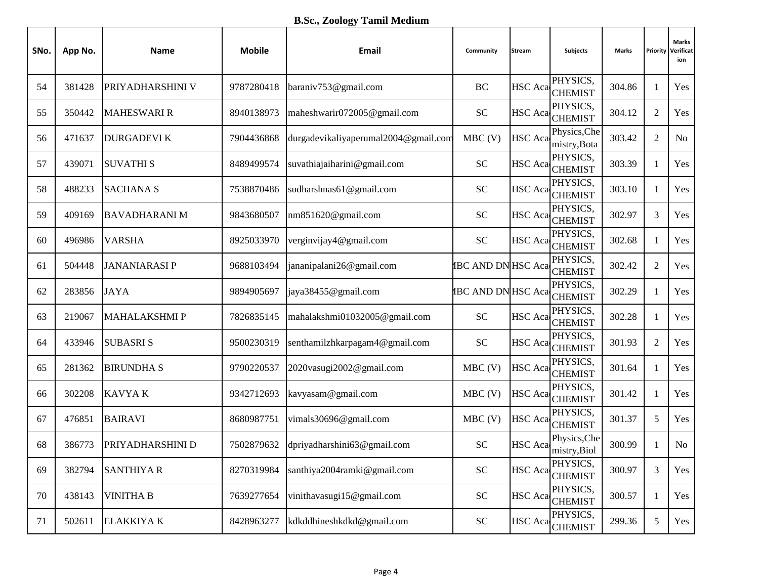## **B.Sc., Zoology Tamil Medium**

| SNo. | App No. | <b>Name</b>          | <b>Mobile</b> | Email                                | Community                  | <b>Stream</b>  | <b>Subjects</b>              | <b>Marks</b> | Priority       | <b>Marks</b><br>Verificat<br>ion |
|------|---------|----------------------|---------------|--------------------------------------|----------------------------|----------------|------------------------------|--------------|----------------|----------------------------------|
| 54   | 381428  | PRIYADHARSHINI V     | 9787280418    | baraniv753@gmail.com                 | BC                         | <b>HSC</b> Aca | PHYSICS,<br><b>CHEMIST</b>   | 304.86       | 1              | Yes                              |
| 55   | 350442  | <b>MAHESWARI R</b>   | 8940138973    | maheshwarir072005@gmail.com          | <b>SC</b>                  | <b>HSC</b> Aca | PHYSICS,<br><b>CHEMIST</b>   | 304.12       | $\overline{2}$ | Yes                              |
| 56   | 471637  | <b>DURGADEVI K</b>   | 7904436868    | durgadevikaliyaperumal2004@gmail.com | $MBC$ (V)                  | <b>HSC</b> Aca | Physics, Che<br>mistry, Bota | 303.42       | $\overline{2}$ | No                               |
| 57   | 439071  | <b>SUVATHIS</b>      | 8489499574    | suvathiajaiharini@gmail.com          | <b>SC</b>                  | <b>HSC</b> Aca | PHYSICS,<br><b>CHEMIST</b>   | 303.39       | 1              | Yes                              |
| 58   | 488233  | <b>SACHANA S</b>     | 7538870486    | sudharshnas61@gmail.com              | <b>SC</b>                  | <b>HSC</b> Aca | PHYSICS,<br><b>CHEMIST</b>   | 303.10       | 1              | Yes                              |
| 59   | 409169  | <b>BAVADHARANI M</b> | 9843680507    | nm851620@gmail.com                   | <b>SC</b>                  |                | PHYSICS,<br>HSC Aca CHEMIST  | 302.97       | 3              | Yes                              |
| 60   | 496986  | <b>VARSHA</b>        | 8925033970    | verginvijay4@gmail.com               | <b>SC</b>                  |                | PHYSICS,<br>HSC Aca CHEMIST  | 302.68       | $\mathbf{1}$   | Yes                              |
| 61   | 504448  | <b>JANANIARASI P</b> | 9688103494    | jananipalani26@gmail.com             | <b>IBC AND DN HSC Aca</b>  |                | PHYSICS,<br><b>CHEMIST</b>   | 302.42       | $\overline{2}$ | Yes                              |
| 62   | 283856  | <b>JAYA</b>          | 9894905697    | jaya38455@gmail.com                  | <b>IBC AND DN HSC Acad</b> |                | PHYSICS,<br><b>CHEMIST</b>   | 302.29       | 1              | Yes                              |
| 63   | 219067  | <b>MAHALAKSHMIP</b>  | 7826835145    | mahalakshmi01032005@gmail.com        | <b>SC</b>                  | <b>HSC</b> Aca | PHYSICS,<br><b>CHEMIST</b>   | 302.28       | 1              | Yes                              |
| 64   | 433946  | <b>SUBASRIS</b>      | 9500230319    | senthamilzhkarpagam4@gmail.com       | <b>SC</b>                  |                | PHYSICS,<br>HSC Aca CHEMIST  | 301.93       | $\overline{2}$ | Yes                              |
| 65   | 281362  | <b>BIRUNDHAS</b>     | 9790220537    | 2020vasugi2002@gmail.com             | $MBC$ (V)                  | <b>HSC</b> Aca | PHYSICS,<br><b>CHEMIST</b>   | 301.64       | $\mathbf{1}$   | Yes                              |
| 66   | 302208  | <b>KAVYAK</b>        | 9342712693    | kavyasam@gmail.com                   | $MBC$ (V)                  | <b>HSC</b> Aca | PHYSICS,<br><b>CHEMIST</b>   | 301.42       | 1              | Yes                              |
| 67   | 476851  | <b>BAIRAVI</b>       | 8680987751    | vimals30696@gmail.com                | MBC(V)                     | HSC Aca        | PHYSICS,<br><b>CHEMIST</b>   | 301.37       | 5              | Yes                              |
| 68   | 386773  | PRIYADHARSHINI D     | 7502879632    | dpriyadharshini63@gmail.com          | <b>SC</b>                  | <b>HSC</b> Aca | Physics, Che<br>mistry, Biol | 300.99       | 1              | <b>No</b>                        |
| 69   | 382794  | <b>SANTHIYA R</b>    | 8270319984    | santhiya2004ramki@gmail.com          | <b>SC</b>                  | <b>HSC</b> Aca | PHYSICS,<br><b>CHEMIST</b>   | 300.97       | $\mathfrak{Z}$ | Yes                              |
| 70   | 438143  | <b>VINITHA B</b>     | 7639277654    | vinithavasugi15@gmail.com            | <b>SC</b>                  | <b>HSC</b> Aca | PHYSICS,<br><b>CHEMIST</b>   | 300.57       | 1              | Yes                              |
| 71   | 502611  | <b>ELAKKIYA K</b>    | 8428963277    | kdkddhineshkdkd@gmail.com            | ${\rm SC}$                 |                | PHYSICS,<br>HSC Aca CHEMIST  | 299.36       | 5              | Yes                              |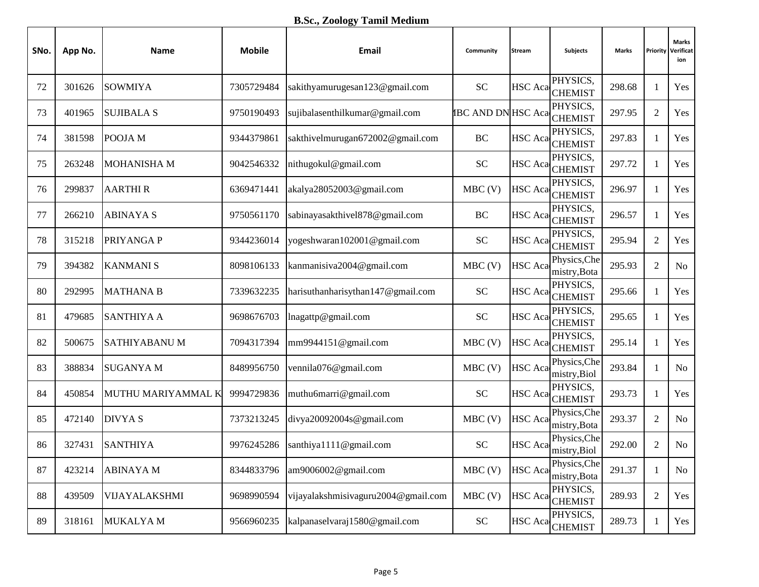| SNo. | App No. | Name                | <b>Mobile</b> | Email                               | Community                 | <b>Stream</b>  | Subjects                     | Marks  | Priority       | <b>Marks</b><br>Verificat<br>ion |
|------|---------|---------------------|---------------|-------------------------------------|---------------------------|----------------|------------------------------|--------|----------------|----------------------------------|
| 72   | 301626  | <b>SOWMIYA</b>      | 7305729484    | sakithyamurugesan123@gmail.com      | <b>SC</b>                 | <b>HSC</b> Aca | PHYSICS,<br><b>CHEMIST</b>   | 298.68 | 1              | Yes                              |
| 73   | 401965  | <b>SUJIBALA S</b>   | 9750190493    | sujibalasenthilkumar@gmail.com      | <b>IBC AND DN HSC Aca</b> |                | PHYSICS,<br><b>CHEMIST</b>   | 297.95 | $\overline{2}$ | Yes                              |
| 74   | 381598  | POOJA M             | 9344379861    | sakthivelmurugan672002@gmail.com    | BC                        | <b>HSC</b> Aca | PHYSICS,<br><b>CHEMIST</b>   | 297.83 | $\mathbf{1}$   | Yes                              |
| 75   | 263248  | <b>MOHANISHA M</b>  | 9042546332    | nithugokul@gmail.com                | <b>SC</b>                 | HSC Aca        | PHYSICS.<br><b>CHEMIST</b>   | 297.72 | 1              | Yes                              |
| 76   | 299837  | <b>AARTHIR</b>      | 6369471441    | akalya28052003@gmail.com            | $MBC$ (V)                 | HSC Aca        | PHYSICS,<br><b>CHEMIST</b>   | 296.97 | 1              | Yes                              |
| 77   | 266210  | <b>ABINAYA S</b>    | 9750561170    | sabinayasakthivel878@gmail.com      | BC                        |                | PHYSICS,<br>HSC Aca CHEMIST  | 296.57 | $\mathbf{1}$   | Yes                              |
| 78   | 315218  | PRIYANGA P          | 9344236014    | yogeshwaran102001@gmail.com         | <b>SC</b>                 |                | PHYSICS,<br>HSC Aca CHEMIST  | 295.94 | $\overline{2}$ | Yes                              |
| 79   | 394382  | <b>KANMANIS</b>     | 8098106133    | kanmanisiva2004@gmail.com           | $MBC$ (V)                 | <b>HSC</b> Aca | Physics, Che<br>mistry, Bota | 295.93 | $\overline{2}$ | <b>No</b>                        |
| 80   | 292995  | <b>MATHANA B</b>    | 7339632235    | harisuthanharisythan147@gmail.com   | <b>SC</b>                 |                | PHYSICS,<br>HSC Aca CHEMIST  | 295.66 | 1              | Yes                              |
| 81   | 479685  | <b>SANTHIYA A</b>   | 9698676703    | lnagattp@gmail.com                  | <b>SC</b>                 | <b>HSC</b> Aca | PHYSICS,<br><b>CHEMIST</b>   | 295.65 | $\mathbf{1}$   | Yes                              |
| 82   | 500675  | <b>SATHIYABANUM</b> | 7094317394    | mm9944151@gmail.com                 | $MBC$ (V)                 |                | PHYSICS,<br>HSC Aca CHEMIST  | 295.14 | $\mathbf{1}$   | Yes                              |
| 83   | 388834  | <b>SUGANYA M</b>    | 8489956750    | vennila076@gmail.com                | $MBC$ (V)                 | <b>HSC</b> Aca | Physics, Che<br>mistry, Biol | 293.84 | $\mathbf{1}$   | N <sub>o</sub>                   |
| 84   | 450854  | MUTHU MARIYAMMAL K  | 9994729836    | muthu6marri@gmail.com               | <b>SC</b>                 | <b>HSC</b> Aca | PHYSICS,<br><b>CHEMIST</b>   | 293.73 | $\mathbf{1}$   | Yes                              |
| 85   | 472140  | <b>DIVYAS</b>       | 7373213245    | divya20092004s@gmail.com            | MBC(V)                    | <b>HSC</b> Aca | Physics, Che<br>mistry, Bota | 293.37 | $\overline{c}$ | <b>No</b>                        |
| 86   | 327431  | <b>SANTHIYA</b>     | 9976245286    | santhiya1111@gmail.com              | <b>SC</b>                 | HSC Aca        | Physics, Che<br>mistry, Biol | 292.00 | $\overline{2}$ | N <sub>o</sub>                   |
| 87   | 423214  | <b>ABINAYAM</b>     | 8344833796    | am9006002@gmail.com                 | $MBC$ (V)                 | <b>HSC</b> Aca | Physics, Che<br>mistry, Bota | 291.37 | $\mathbf{1}$   | No                               |
| 88   | 439509  | VIJAYALAKSHMI       | 9698990594    | vijayalakshmisivaguru2004@gmail.com | $MBC$ (V)                 | <b>HSC</b> Aca | PHYSICS,<br><b>CHEMIST</b>   | 289.93 | $\overline{2}$ | Yes                              |
| 89   | 318161  | MUKALYA M           | 9566960235    | kalpanaselvaraj1580@gmail.com       | ${\rm SC}$                |                | PHYSICS,<br>HSC Aca CHEMIST  | 289.73 | $\mathbf{1}$   | Yes                              |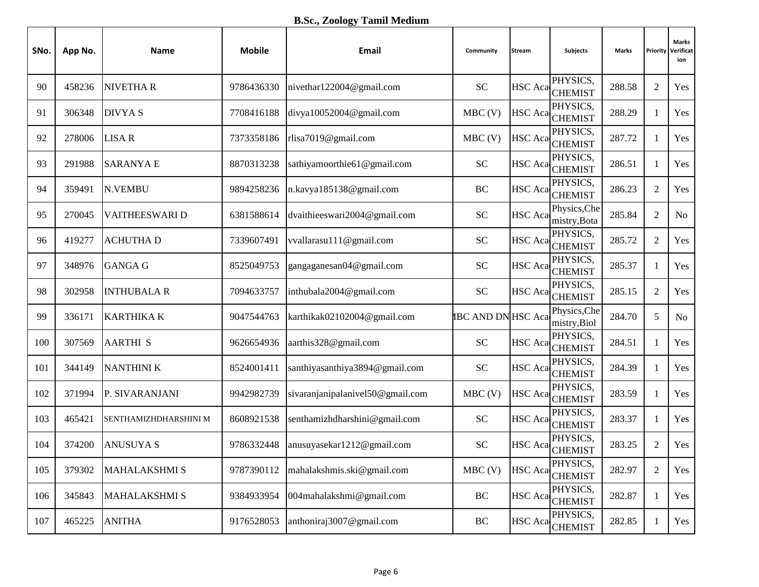| SNo. | App No. | Name                  | <b>Mobile</b> | Email                            | Community                 | <b>Stream</b>  | Subjects                     | Marks  | Priority       | <b>Marks</b><br>Verificat<br>ion |
|------|---------|-----------------------|---------------|----------------------------------|---------------------------|----------------|------------------------------|--------|----------------|----------------------------------|
| 90   | 458236  | <b>NIVETHAR</b>       | 9786436330    | nivethar122004@gmail.com         | <b>SC</b>                 | <b>HSC</b> Aca | PHYSICS.<br><b>CHEMIST</b>   | 288.58 | $\overline{2}$ | Yes                              |
| 91   | 306348  | <b>DIVYAS</b>         | 7708416188    | divya10052004@gmail.com          | $MBC$ (V)                 |                | PHYSICS,<br>HSC Aca CHEMIST  | 288.29 | $\mathbf{1}$   | Yes                              |
| 92   | 278006  | <b>LISAR</b>          | 7373358186    | rlisa7019@gmail.com              | $MBC$ (V)                 | <b>HSC</b> Aca | PHYSICS,<br><b>CHEMIST</b>   | 287.72 | $\mathbf{1}$   | Yes                              |
| 93   | 291988  | <b>SARANYA E</b>      | 8870313238    | sathiyamoorthie61@gmail.com      | <b>SC</b>                 | <b>HSC</b> Aca | PHYSICS,<br><b>CHEMIST</b>   | 286.51 | 1              | Yes                              |
| 94   | 359491  | N.VEMBU               | 9894258236    | n.kavya185138@gmail.com          | BC                        | <b>HSC</b> Aca | PHYSICS,<br><b>CHEMIST</b>   | 286.23 | $\overline{2}$ | Yes                              |
| 95   | 270045  | <b>VAITHEESWARI D</b> | 6381588614    | dvaithieeswari2004@gmail.com     | <b>SC</b>                 | <b>HSC</b> Aca | Physics, Che<br>mistry, Bota | 285.84 | $\overline{2}$ | N <sub>o</sub>                   |
| 96   | 419277  | <b>ACHUTHAD</b>       | 7339607491    | vvallarasu111@gmail.com          | <b>SC</b>                 |                | PHYSICS,<br>HSC Aca CHEMIST  | 285.72 | $\overline{c}$ | Yes                              |
| 97   | 348976  | <b>GANGA G</b>        | 8525049753    | gangaganesan04@gmail.com         | <b>SC</b>                 | <b>HSC</b> Aca | PHYSICS,<br><b>CHEMIST</b>   | 285.37 | $\mathbf{1}$   | Yes                              |
| 98   | 302958  | <b>INTHUBALA R</b>    | 7094633757    | inthubala2004@gmail.com          | <b>SC</b>                 |                | PHYSICS,<br>HSC Aca CHEMIST  | 285.15 | $\overline{2}$ | Yes                              |
| 99   | 336171  | <b>KARTHIKA K</b>     | 9047544763    | karthikak02102004@gmail.com      | <b>IBC AND DN HSC Aca</b> |                | Physics, Che<br>mistry, Biol | 284.70 | 5              | <b>No</b>                        |
| 100  | 307569  | <b>AARTHI S</b>       | 9626654936    | aarthis328@gmail.com             | <b>SC</b>                 |                | PHYSICS,<br>HSC Aca CHEMIST  | 284.51 | $\mathbf{1}$   | Yes                              |
| 101  | 344149  | <b>NANTHINI K</b>     | 8524001411    | santhiyasanthiya3894@gmail.com   | <b>SC</b>                 | <b>HSC</b> Aca | PHYSICS,<br><b>CHEMIST</b>   | 284.39 | $\mathbf{1}$   | Yes                              |
| 102  | 371994  | P. SIVARANJANI        | 9942982739    | sivaranjanipalanivel50@gmail.com | $MBC$ (V)                 | HSC Aca        | PHYSICS,<br><b>CHEMIST</b>   | 283.59 | $\mathbf{1}$   | Yes                              |
| 103  | 465421  | SENTHAMIZHDHARSHINI M | 8608921538    | senthamizhdharshini@gmail.com    | <b>SC</b>                 |                | PHYSICS,<br>HSC Aca CHEMIST  | 283.37 | $\mathbf{1}$   | Yes                              |
| 104  | 374200  | <b>ANUSUYA S</b>      | 9786332448    | anusuyasekar1212@gmail.com       | <b>SC</b>                 | <b>HSC</b> Aca | PHYSICS,<br><b>CHEMIST</b>   | 283.25 | $\overline{c}$ | Yes                              |
| 105  | 379302  | <b>MAHALAKSHMI S</b>  | 9787390112    | mahalakshmis.ski@gmail.com       | $MBC$ (V)                 | <b>HSC</b> Aca | PHYSICS,<br><b>CHEMIST</b>   | 282.97 | $\overline{2}$ | Yes                              |
| 106  | 345843  | <b>MAHALAKSHMI S</b>  | 9384933954    | 004mahalakshmi@gmail.com         | $\operatorname{BC}$       | <b>HSC</b> Aca | PHYSICS,<br><b>CHEMIST</b>   | 282.87 | $\mathbf{1}$   | Yes                              |
| 107  | 465225  | <b>ANITHA</b>         | 9176528053    | anthoniraj3007@gmail.com         | BC                        |                | PHYSICS,<br>HSC Aca CHEMIST  | 282.85 | $\mathbf{1}$   | Yes                              |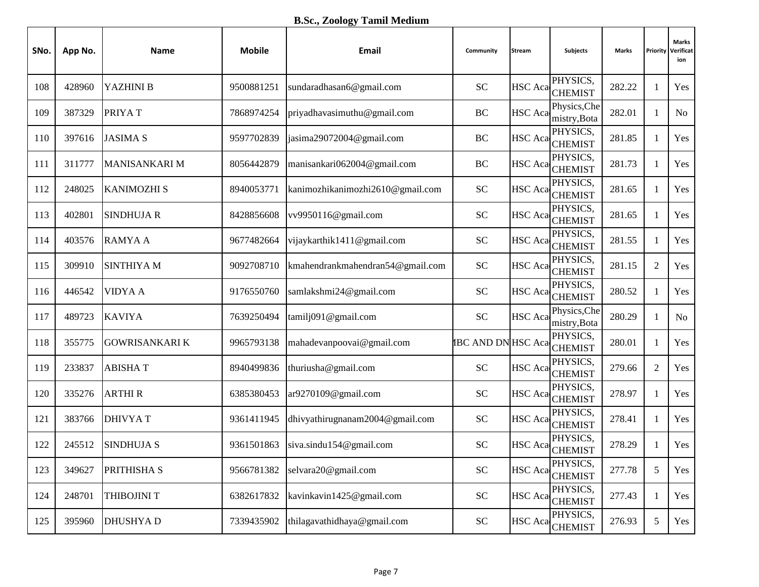| SNo. | App No. | <b>Name</b>           | <b>Mobile</b> | <b>Email</b>                     | Community                  | <b>Stream</b>  | Subjects                     | Marks  | Priority       | <b>Marks</b><br>Verificat<br>ion |
|------|---------|-----------------------|---------------|----------------------------------|----------------------------|----------------|------------------------------|--------|----------------|----------------------------------|
| 108  | 428960  | YAZHINI B             | 9500881251    | sundaradhasan6@gmail.com         | <b>SC</b>                  | <b>HSC</b> Aca | PHYSICS,<br><b>CHEMIST</b>   | 282.22 | 1              | Yes                              |
| 109  | 387329  | PRIYAT                | 7868974254    | priyadhavasimuthu@gmail.com      | BC                         | <b>HSC</b> Aca | Physics, Che<br>mistry, Bota | 282.01 | $\mathbf{1}$   | N <sub>o</sub>                   |
| 110  | 397616  | <b>JASIMA S</b>       | 9597702839    | jasima29072004@gmail.com         | BC                         | <b>HSC</b> Aca | PHYSICS,<br><b>CHEMIST</b>   | 281.85 | $\mathbf{1}$   | Yes                              |
| 111  | 311777  | MANISANKARI M         | 8056442879    | manisankari062004@gmail.com      | BC                         | <b>HSC</b> Aca | PHYSICS,<br><b>CHEMIST</b>   | 281.73 | 1              | Yes                              |
| 112  | 248025  | <b>KANIMOZHI S</b>    | 8940053771    | kanimozhikanimozhi2610@gmail.com | <b>SC</b>                  | <b>HSC</b> Aca | PHYSICS,<br><b>CHEMIST</b>   | 281.65 | $\mathbf{1}$   | Yes                              |
| 113  | 402801  | <b>SINDHUJA R</b>     | 8428856608    | vv9950116@gmail.com              | <b>SC</b>                  |                | PHYSICS,<br>HSC Aca CHEMIST  | 281.65 | $\mathbf{1}$   | Yes                              |
| 114  | 403576  | <b>RAMYAA</b>         | 9677482664    | vijaykarthik1411@gmail.com       | <b>SC</b>                  | <b>HSC</b> Aca | PHYSICS,<br><b>CHEMIST</b>   | 281.55 | 1              | Yes                              |
| 115  | 309910  | <b>SINTHIYA M</b>     | 9092708710    | kmahendrankmahendran54@gmail.com | <b>SC</b>                  | <b>HSC</b> Aca | PHYSICS,<br><b>CHEMIST</b>   | 281.15 | $\overline{2}$ | Yes                              |
| 116  | 446542  | <b>VIDYA A</b>        | 9176550760    | samlakshmi24@gmail.com           | <b>SC</b>                  |                | PHYSICS,<br>HSC Aca CHEMIST  | 280.52 | 1              | Yes                              |
| 117  | 489723  | <b>KAVIYA</b>         | 7639250494    | tamilj091@gmail.com              | <b>SC</b>                  | <b>HSC</b> Aca | Physics, Che<br>mistry, Bota | 280.29 | $\mathbf{1}$   | <b>No</b>                        |
| 118  | 355775  | <b>GOWRISANKARI K</b> | 9965793138    | mahadevanpoovai@gmail.com        | <b>IBC AND DN HSC Acad</b> |                | PHYSICS,<br><b>CHEMIST</b>   | 280.01 | 1              | Yes                              |
| 119  | 233837  | <b>ABISHAT</b>        | 8940499836    | thuriusha@gmail.com              | <b>SC</b>                  | <b>HSC</b> Aca | PHYSICS,<br><b>CHEMIST</b>   | 279.66 | $\overline{2}$ | Yes                              |
| 120  | 335276  | <b>ARTHIR</b>         | 6385380453    | ar9270109@gmail.com              | <b>SC</b>                  | <b>HSC</b> Aca | PHYSICS,<br><b>CHEMIST</b>   | 278.97 | $\mathbf{1}$   | Yes                              |
| 121  | 383766  | <b>DHIVYAT</b>        | 9361411945    | dhivyathirugnanam2004@gmail.com  | <b>SC</b>                  | <b>HSC</b> Aca | PHYSICS,<br><b>CHEMIST</b>   | 278.41 | $\mathbf{1}$   | Yes                              |
| 122  | 245512  | <b>SINDHUJA S</b>     | 9361501863    | siva.sindu154@gmail.com          | <b>SC</b>                  | <b>HSC</b> Aca | PHYSICS,<br><b>CHEMIST</b>   | 278.29 | 1              | Yes                              |
| 123  | 349627  | PRITHISHA S           | 9566781382    | selvara20@gmail.com              | <b>SC</b>                  | <b>HSC</b> Aca | PHYSICS,<br><b>CHEMIST</b>   | 277.78 | 5              | Yes                              |
| 124  | 248701  | THIBOJINI T           | 6382617832    | kavinkavin1425@gmail.com         | ${\rm SC}$                 | <b>HSC</b> Aca | PHYSICS,<br><b>CHEMIST</b>   | 277.43 | $\mathbf{1}$   | Yes                              |
| 125  | 395960  | <b>DHUSHYAD</b>       | 7339435902    | thilagavathidhaya@gmail.com      | ${\rm SC}$                 |                | PHYSICS,<br>HSC Aca CHEMIST  | 276.93 | 5              | Yes                              |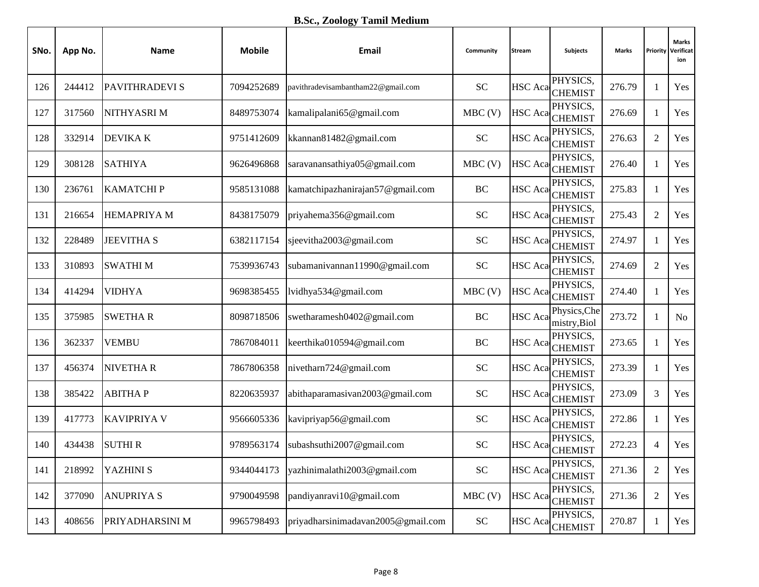| SNo. | App No. | Name                  | <b>Mobile</b> | Email                              | Community  | <b>Stream</b>  | <b>Subjects</b>              | Marks  | Priority       | <b>Marks</b><br>Verificat<br>ion |
|------|---------|-----------------------|---------------|------------------------------------|------------|----------------|------------------------------|--------|----------------|----------------------------------|
| 126  | 244412  | <b>PAVITHRADEVI S</b> | 7094252689    | pavithradevisambantham22@gmail.com | <b>SC</b>  | <b>HSC</b> Aca | PHYSICS.<br><b>CHEMIST</b>   | 276.79 | 1              | Yes                              |
| 127  | 317560  | NITHYASRI M           | 8489753074    | kamalipalani65@gmail.com           | $MBC$ (V)  |                | PHYSICS,<br>HSC Aca CHEMIST  | 276.69 | 1              | Yes                              |
| 128  | 332914  | <b>DEVIKAK</b>        | 9751412609    | kkannan81482@gmail.com             | <b>SC</b>  | <b>HSC</b> Aca | PHYSICS,<br><b>CHEMIST</b>   | 276.63 | $\overline{2}$ | Yes                              |
| 129  | 308128  | <b>SATHIYA</b>        | 9626496868    | saravanansathiya05@gmail.com       | $MBC$ (V)  | HSC Aca        | PHYSICS,<br><b>CHEMIST</b>   | 276.40 | $\mathbf{1}$   | Yes                              |
| 130  | 236761  | <b>KAMATCHIP</b>      | 9585131088    | kamatchipazhanirajan57@gmail.com   | BC         | HSC Aca        | PHYSICS,<br><b>CHEMIST</b>   | 275.83 | $\mathbf{1}$   | Yes                              |
| 131  | 216654  | <b>HEMAPRIYA M</b>    | 8438175079    | priyahema356@gmail.com             | <b>SC</b>  |                | PHYSICS,<br>HSC Aca CHEMIST  | 275.43 | $\overline{2}$ | Yes                              |
| 132  | 228489  | <b>JEEVITHA S</b>     | 6382117154    | sjeevitha2003@gmail.com            | <b>SC</b>  |                | PHYSICS,<br>HSC Aca CHEMIST  | 274.97 | $\mathbf{1}$   | Yes                              |
| 133  | 310893  | <b>SWATHIM</b>        | 7539936743    | subamanivannan11990@gmail.com      | <b>SC</b>  | <b>HSC</b> Aca | PHYSICS,<br><b>CHEMIST</b>   | 274.69 | $\overline{2}$ | Yes                              |
| 134  | 414294  | <b>VIDHYA</b>         | 9698385455    | lvidhya534@gmail.com               | $MBC$ (V)  |                | PHYSICS,<br>HSC Aca CHEMIST  | 274.40 | $\mathbf{1}$   | Yes                              |
| 135  | 375985  | <b>SWETHAR</b>        | 8098718506    | swetharamesh0402@gmail.com         | BC         | <b>HSC</b> Aca | Physics, Che<br>mistry, Biol | 273.72 | 1              | <b>No</b>                        |
| 136  | 362337  | <b>VEMBU</b>          | 7867084011    | keerthika010594@gmail.com          | BC         |                | PHYSICS,<br>HSC Aca CHEMIST  | 273.65 | $\mathbf{1}$   | Yes                              |
| 137  | 456374  | <b>NIVETHAR</b>       | 7867806358    | nivetharn724@gmail.com             | <b>SC</b>  | <b>HSC</b> Aca | PHYSICS,<br><b>CHEMIST</b>   | 273.39 | $\mathbf{1}$   | Yes                              |
| 138  | 385422  | <b>ABITHAP</b>        | 8220635937    | abithaparamasivan2003@gmail.com    | <b>SC</b>  | <b>HSC</b> Aca | PHYSICS,<br><b>CHEMIST</b>   | 273.09 | 3              | Yes                              |
| 139  | 417773  | <b>KAVIPRIYA V</b>    | 9566605336    | kavipriyap56@gmail.com             | <b>SC</b>  |                | PHYSICS,<br>HSC Aca CHEMIST  | 272.86 | $\mathbf{1}$   | Yes                              |
| 140  | 434438  | <b>SUTHIR</b>         | 9789563174    | subashsuthi2007@gmail.com          | <b>SC</b>  | <b>HSC</b> Aca | PHYSICS,<br><b>CHEMIST</b>   | 272.23 | 4              | Yes                              |
| 141  | 218992  | YAZHINI S             | 9344044173    | yazhinimalathi2003@gmail.com       | <b>SC</b>  | <b>HSC</b> Aca | PHYSICS,<br><b>CHEMIST</b>   | 271.36 | $\overline{2}$ | Yes                              |
| 142  | 377090  | <b>ANUPRIYA S</b>     | 9790049598    | pandiyanravi10@gmail.com           | $MBC$ (V)  | <b>HSC</b> Aca | PHYSICS,<br><b>CHEMIST</b>   | 271.36 | 2              | Yes                              |
| 143  | 408656  | PRIYADHARSINI M       | 9965798493    | priyadharsinimadavan2005@gmail.com | ${\rm SC}$ |                | PHYSICS,<br>HSC Aca CHEMIST  | 270.87 | $\mathbf{1}$   | Yes                              |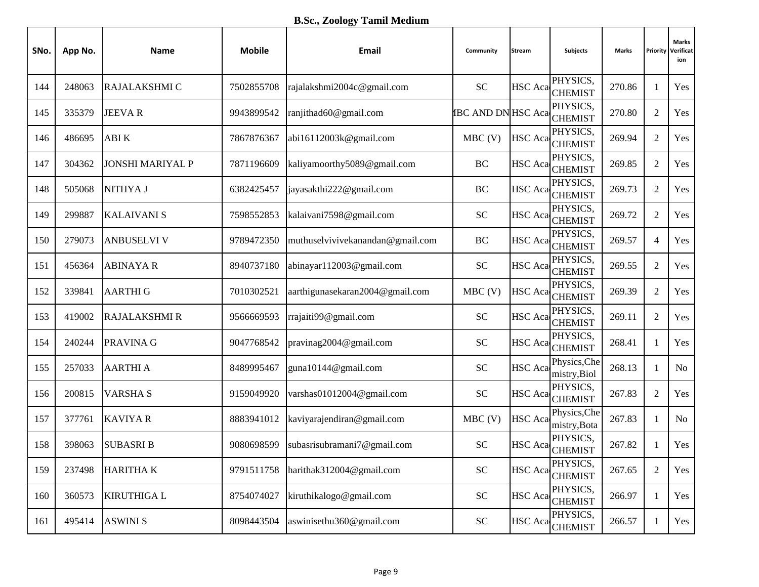| SNo. | App No. | Name                    | <b>Mobile</b> | Email                            | Community                 | <b>Stream</b>  | Subjects                     | Marks  | Priority       | <b>Marks</b><br>Verificat<br>ion |
|------|---------|-------------------------|---------------|----------------------------------|---------------------------|----------------|------------------------------|--------|----------------|----------------------------------|
| 144  | 248063  | RAJALAKSHMI C           | 7502855708    | rajalakshmi2004c@gmail.com       | <b>SC</b>                 | <b>HSC</b> Aca | PHYSICS.<br><b>CHEMIST</b>   | 270.86 | 1              | Yes                              |
| 145  | 335379  | <b>JEEVAR</b>           | 9943899542    | ranjithad60@gmail.com            | <b>IBC AND DN HSC Aca</b> |                | PHYSICS,<br><b>CHEMIST</b>   | 270.80 | $\overline{2}$ | Yes                              |
| 146  | 486695  | ABI K                   | 7867876367    | abi16112003k@gmail.com           | $MBC$ (V)                 | <b>HSC</b> Aca | PHYSICS,<br><b>CHEMIST</b>   | 269.94 | $\overline{2}$ | Yes                              |
| 147  | 304362  | <b>JONSHI MARIYAL P</b> | 7871196609    | kaliyamoorthy5089@gmail.com      | BC                        | <b>HSC</b> Aca | PHYSICS,<br><b>CHEMIST</b>   | 269.85 | $\overline{2}$ | Yes                              |
| 148  | 505068  | NITHYA J                | 6382425457    | jayasakthi222@gmail.com          | BC                        | <b>HSC</b> Aca | PHYSICS,<br><b>CHEMIST</b>   | 269.73 | $\overline{2}$ | Yes                              |
| 149  | 299887  | <b>KALAIVANI S</b>      | 7598552853    | kalaivani7598@gmail.com          | <b>SC</b>                 |                | PHYSICS,<br>HSC Aca CHEMIST  | 269.72 | $\overline{2}$ | Yes                              |
| 150  | 279073  | <b>ANBUSELVI V</b>      | 9789472350    | muthuselvivivekanandan@gmail.com | BC                        |                | PHYSICS,<br>HSC Aca CHEMIST  | 269.57 | $\overline{4}$ | Yes                              |
| 151  | 456364  | <b>ABINAYAR</b>         | 8940737180    | abinayar112003@gmail.com         | <b>SC</b>                 | <b>HSC</b> Aca | PHYSICS,<br><b>CHEMIST</b>   | 269.55 | $\overline{2}$ | Yes                              |
| 152  | 339841  | <b>AARTHIG</b>          | 7010302521    | aarthigunasekaran2004@gmail.com  | $MBC$ (V)                 |                | PHYSICS,<br>HSC Aca CHEMIST  | 269.39 | $\sqrt{2}$     | Yes                              |
| 153  | 419002  | <b>RAJALAKSHMI R</b>    | 9566669593    | rrajaiti99@gmail.com             | <b>SC</b>                 | <b>HSC</b> Aca | PHYSICS,<br><b>CHEMIST</b>   | 269.11 | $\overline{2}$ | Yes                              |
| 154  | 240244  | PRAVINA G               | 9047768542    | pravinag2004@gmail.com           | <b>SC</b>                 |                | PHYSICS,<br>HSC Aca CHEMIST  | 268.41 | $\mathbf{1}$   | Yes                              |
| 155  | 257033  | <b>AARTHI A</b>         | 8489995467    | guna10144@gmail.com              | <b>SC</b>                 | <b>HSC</b> Aca | Physics, Che<br>mistry, Biol | 268.13 | $\mathbf{1}$   | N <sub>o</sub>                   |
| 156  | 200815  | <b>VARSHAS</b>          | 9159049920    | varshas01012004@gmail.com        | <b>SC</b>                 | <b>HSC</b> Aca | PHYSICS,<br><b>CHEMIST</b>   | 267.83 | $\overline{2}$ | Yes                              |
| 157  | 377761  | <b>KAVIYAR</b>          | 8883941012    | kaviyarajendiran@gmail.com       | MBC(V)                    | HSC Aca        | Physics, Che<br>mistry, Bota | 267.83 | $\mathbf{1}$   | N <sub>o</sub>                   |
| 158  | 398063  | <b>SUBASRI B</b>        | 9080698599    | subasrisubramani7@gmail.com      | <b>SC</b>                 | <b>HSC</b> Aca | PHYSICS,<br><b>CHEMIST</b>   | 267.82 | 1              | Yes                              |
| 159  | 237498  | <b>HARITHAK</b>         | 9791511758    | harithak $312004@$ gmail.com     | <b>SC</b>                 | <b>HSC</b> Aca | PHYSICS,<br><b>CHEMIST</b>   | 267.65 | $\overline{2}$ | Yes                              |
| 160  | 360573  | <b>KIRUTHIGA L</b>      | 8754074027    | kiruthikalogo@gmail.com          | ${\rm SC}$                | <b>HSC</b> Aca | PHYSICS,<br><b>CHEMIST</b>   | 266.97 | $\mathbf{1}$   | Yes                              |
| 161  | 495414  | <b>ASWINI S</b>         | 8098443504    | aswinisethu360@gmail.com         | ${\rm SC}$                |                | PHYSICS,<br>HSC Aca CHEMIST  | 266.57 | $\mathbf{1}$   | Yes                              |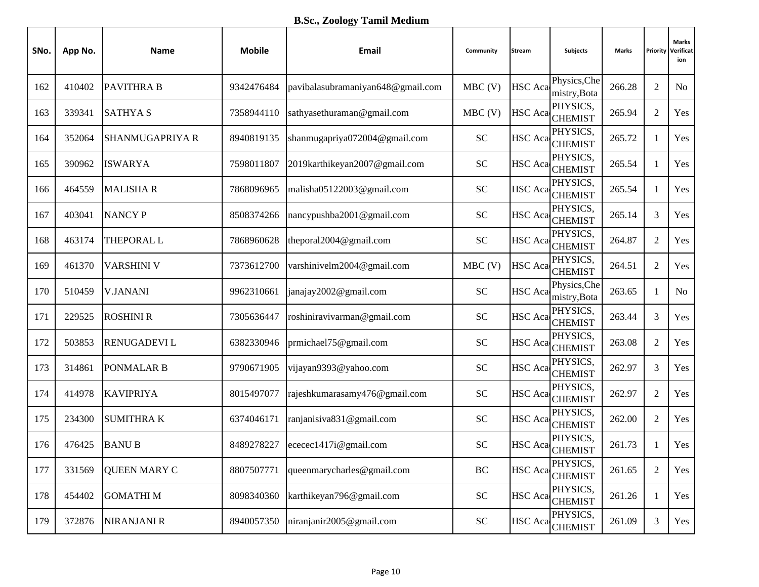| SNo. | App No. | Name                | <b>Mobile</b> | Email                             | Community  | <b>Stream</b>  | <b>Subjects</b>              | Marks  | Priority       | <b>Marks</b><br>Verificat<br>ion |
|------|---------|---------------------|---------------|-----------------------------------|------------|----------------|------------------------------|--------|----------------|----------------------------------|
| 162  | 410402  | <b>PAVITHRA B</b>   | 9342476484    | pavibalasubramaniyan648@gmail.com | $MBC$ (V)  | <b>HSC</b> Aca | Physics, Che<br>mistry, Bota | 266.28 | $\overline{2}$ | N <sub>o</sub>                   |
| 163  | 339341  | <b>SATHYAS</b>      | 7358944110    | sathyasethuraman@gmail.com        | $MBC$ (V)  |                | PHYSICS,<br>HSC Aca CHEMIST  | 265.94 | $\overline{2}$ | Yes                              |
| 164  | 352064  | SHANMUGAPRIYA R     | 8940819135    | shanmugapriya072004@gmail.com     | <b>SC</b>  | <b>HSC</b> Aca | PHYSICS,<br><b>CHEMIST</b>   | 265.72 | 1              | Yes                              |
| 165  | 390962  | <b>ISWARYA</b>      | 7598011807    | 2019karthikeyan2007@gmail.com     | <b>SC</b>  | <b>HSC</b> Aca | PHYSICS,<br><b>CHEMIST</b>   | 265.54 | $\mathbf{1}$   | Yes                              |
| 166  | 464559  | <b>MALISHAR</b>     | 7868096965    | malisha05122003@gmail.com         | <b>SC</b>  |                | PHYSICS,<br>HSC Aca CHEMIST  | 265.54 | $\mathbf{1}$   | Yes                              |
| 167  | 403041  | <b>NANCY P</b>      | 8508374266    | nancypushba2001@gmail.com         | <b>SC</b>  | <b>HSC</b> Aca | PHYSICS,<br><b>CHEMIST</b>   | 265.14 | 3              | Yes                              |
| 168  | 463174  | <b>THEPORAL L</b>   | 7868960628    | theporal2004@gmail.com            | <b>SC</b>  | <b>HSC</b> Aca | PHYSICS,<br><b>CHEMIST</b>   | 264.87 | $\overline{2}$ | Yes                              |
| 169  | 461370  | <b>VARSHINI V</b>   | 7373612700    | varshinivelm2004@gmail.com        | $MBC$ (V)  | <b>HSC</b> Aca | PHYSICS,<br><b>CHEMIST</b>   | 264.51 | $\overline{2}$ | Yes                              |
| 170  | 510459  | <b>V.JANANI</b>     | 9962310661    | janajay2002@gmail.com             | <b>SC</b>  | <b>HSC</b> Aca | Physics, Che<br>mistry, Bota | 263.65 | 1              | <b>No</b>                        |
| 171  | 229525  | <b>ROSHINI R</b>    | 7305636447    | roshiniravivarman@gmail.com       | <b>SC</b>  | <b>HSC</b> Aca | PHYSICS,<br><b>CHEMIST</b>   | 263.44 | 3              | Yes                              |
| 172  | 503853  | <b>RENUGADEVIL</b>  | 6382330946    | prmichael75@gmail.com             | <b>SC</b>  |                | PHYSICS,<br>HSC Aca CHEMIST  | 263.08 | $\overline{2}$ | Yes                              |
| 173  | 314861  | PONMALAR B          | 9790671905    | vijayan9393@yahoo.com             | <b>SC</b>  |                | PHYSICS,<br>HSC Aca CHEMIST  | 262.97 | 3              | Yes                              |
| 174  | 414978  | <b>KAVIPRIYA</b>    | 8015497077    | rajeshkumarasamy476@gmail.com     | <b>SC</b>  | <b>HSC</b> Aca | PHYSICS,<br><b>CHEMIST</b>   | 262.97 | $\overline{2}$ | Yes                              |
| 175  | 234300  | <b>SUMITHRAK</b>    | 6374046171    | ranjanisiva831@gmail.com          | <b>SC</b>  | <b>HSC</b> Aca | PHYSICS,<br><b>CHEMIST</b>   | 262.00 | $\mathbf{2}$   | Yes                              |
| 176  | 476425  | <b>BANUB</b>        | 8489278227    | ececec1417i@gmail.com             | <b>SC</b>  | <b>HSC</b> Aca | PHYSICS,<br><b>CHEMIST</b>   | 261.73 | 1              | Yes                              |
| 177  | 331569  | <b>QUEEN MARY C</b> | 8807507771    | queenmarycharles@gmail.com        | $\rm BC$   | <b>HSC</b> Aca | PHYSICS,<br><b>CHEMIST</b>   | 261.65 | $\overline{2}$ | Yes                              |
| 178  | 454402  | <b>GOMATHIM</b>     | 8098340360    | karthikeyan796@gmail.com          | ${\rm SC}$ | <b>HSC</b> Aca | PHYSICS,<br><b>CHEMIST</b>   | 261.26 | $\mathbf{1}$   | Yes                              |
| 179  | 372876  | NIRANJANI R         | 8940057350    | niranjanir2005@gmail.com          | ${\rm SC}$ |                | PHYSICS,<br>HSC Aca CHEMIST  | 261.09 | $\mathfrak{Z}$ | Yes                              |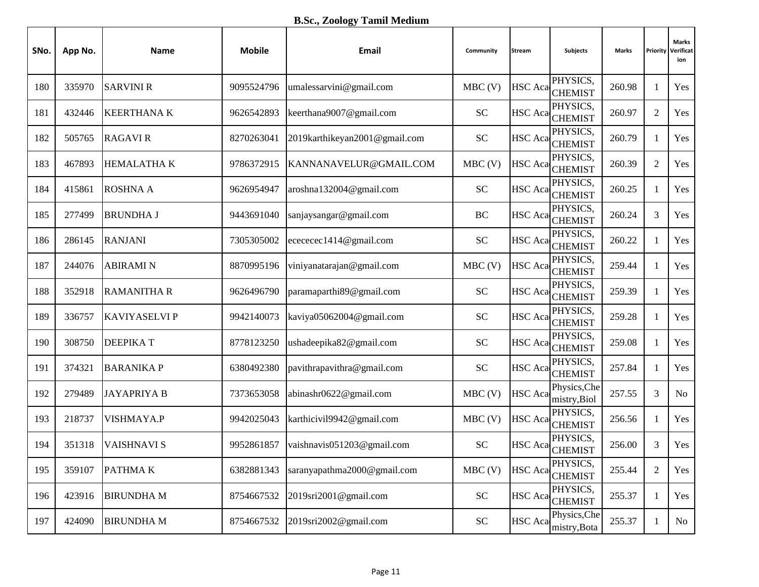| SNo. | App No. | Name               | <b>Mobile</b> | Email                         | Community                  | <b>Stream</b>  | <b>Subjects</b>              | Marks  |                | <b>Marks</b><br><b>Priority Verificat</b><br>ion |
|------|---------|--------------------|---------------|-------------------------------|----------------------------|----------------|------------------------------|--------|----------------|--------------------------------------------------|
| 180  | 335970  | <b>SARVINI R</b>   | 9095524796    | umalessarvini@gmail.com       | $MBC$ (V)                  | <b>HSC</b> Aca | PHYSICS,<br><b>CHEMIST</b>   | 260.98 | 1              | Yes                                              |
| 181  | 432446  | <b>KEERTHANA K</b> | 9626542893    | keerthana9007@gmail.com       | <b>SC</b>                  | <b>HSC</b> Aca | PHYSICS,<br><b>CHEMIST</b>   | 260.97 | $\mathfrak{2}$ | Yes                                              |
| 182  | 505765  | <b>RAGAVIR</b>     | 8270263041    | 2019karthikeyan2001@gmail.com | $\ensuremath{\mathbf{SC}}$ | HSC Aca        | PHYSICS,<br><b>CHEMIST</b>   | 260.79 | $\mathbf{1}$   | Yes                                              |
| 183  | 467893  | <b>HEMALATHAK</b>  | 9786372915    | KANNANAVELUR@GMAIL.COM        | $MBC$ (V)                  | HSC Aca        | PHYSICS,<br><b>CHEMIST</b>   | 260.39 | $\overline{2}$ | Yes                                              |
| 184  | 415861  | <b>ROSHNA A</b>    | 9626954947    | aroshna132004@gmail.com       | <b>SC</b>                  | HSC Aca        | PHYSICS,<br><b>CHEMIST</b>   | 260.25 | $\mathbf{1}$   | Yes                                              |
| 185  | 277499  | <b>BRUNDHA J</b>   | 9443691040    | sanjaysangar@gmail.com        | BC                         | <b>HSC</b> Aca | PHYSICS,<br><b>CHEMIST</b>   | 260.24 | 3              | Yes                                              |
| 186  | 286145  | <b>RANJANI</b>     | 7305305002    | ecececec1414@gmail.com        | <b>SC</b>                  | <b>HSC</b> Aca | PHYSICS,<br><b>CHEMIST</b>   | 260.22 | 1              | Yes                                              |
| 187  | 244076  | <b>ABIRAMIN</b>    | 8870995196    | viniyanatarajan@gmail.com     | $MBC$ (V)                  | <b>HSC</b> Aca | PHYSICS.<br><b>CHEMIST</b>   | 259.44 | 1              | Yes                                              |
| 188  | 352918  | <b>RAMANITHA R</b> | 9626496790    | paramaparthi89@gmail.com      | $\ensuremath{\mathbf{SC}}$ | <b>HSC</b> Aca | PHYSICS,<br><b>CHEMIST</b>   | 259.39 | $\mathbf{1}$   | Yes                                              |
| 189  | 336757  | KAVIYASELVI P      | 9942140073    | kaviya05062004@gmail.com      | $\ensuremath{\mathbf{SC}}$ | HSC Aca        | PHYSICS,<br><b>CHEMIST</b>   | 259.28 | $\mathbf{1}$   | Yes                                              |
| 190  | 308750  | <b>DEEPIKAT</b>    | 8778123250    | ushadeepika82@gmail.com       | <b>SC</b>                  | HSC Aca        | PHYSICS,<br><b>CHEMIST</b>   | 259.08 | $\mathbf{1}$   | Yes                                              |
| 191  | 374321  | <b>BARANIKAP</b>   | 6380492380    | pavithrapavithra@gmail.com    | <b>SC</b>                  | HSC Aca        | PHYSICS,<br><b>CHEMIST</b>   | 257.84 | $\mathbf{1}$   | Yes                                              |
| 192  | 279489  | <b>JAYAPRIYA B</b> | 7373653058    | abinashr0622@gmail.com        | MBC(V)                     | <b>HSC</b> Aca | Physics, Che<br>mistry, Biol | 257.55 | 3              | N <sub>o</sub>                                   |
| 193  | 218737  | VISHMAYA.P         | 9942025043    | karthicivil9942@gmail.com     | $MBC$ (V)                  | <b>HSC</b> Aca | PHYSICS,<br><b>CHEMIST</b>   | 256.56 | 1              | Yes                                              |
| 194  | 351318  | <b>VAISHNAVI S</b> | 9952861857    | vaishnavis051203@gmail.com    | <b>SC</b>                  | <b>HSC</b> Aca | PHYSICS,<br><b>CHEMIST</b>   | 256.00 | 3              | Yes                                              |
| 195  | 359107  | <b>PATHMAK</b>     | 6382881343    | saranyapathma2000@gmail.com   | $MBC$ (V)                  | <b>HSC</b> Aca | PHYSICS,<br><b>CHEMIST</b>   | 255.44 | $\overline{2}$ | Yes                                              |
| 196  | 423916  | <b>BIRUNDHAM</b>   | 8754667532    | 2019sri2001@gmail.com         | ${\rm SC}$                 | HSC Aca        | PHYSICS,<br><b>CHEMIST</b>   | 255.37 | 1              | Yes                                              |
| 197  | 424090  | <b>BIRUNDHAM</b>   | 8754667532    | 2019sri2002@gmail.com         | ${\rm SC}$                 | <b>HSC</b> Aca | Physics, Che<br>mistry, Bota | 255.37 | 1              | No                                               |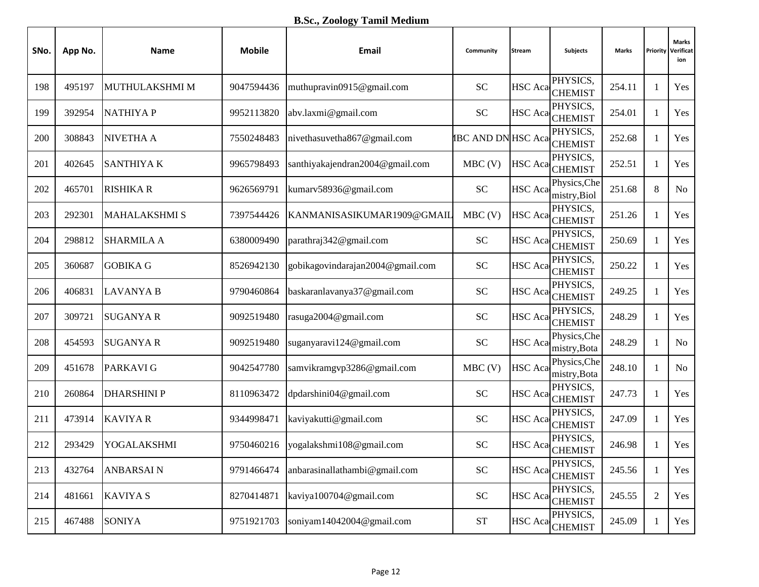| SNo. | App No. | Name                 | <b>Mobile</b> | Email                            | Community                 | <b>Stream</b>  | <b>Subjects</b>              | Marks  | Priority       | <b>Marks</b><br>Verificat<br>ion |
|------|---------|----------------------|---------------|----------------------------------|---------------------------|----------------|------------------------------|--------|----------------|----------------------------------|
| 198  | 495197  | MUTHULAKSHMI M       | 9047594436    | muthupravin0915@gmail.com        | <b>SC</b>                 | <b>HSC</b> Aca | PHYSICS,<br><b>CHEMIST</b>   | 254.11 | 1              | Yes                              |
| 199  | 392954  | <b>NATHIYAP</b>      | 9952113820    | abv.laxmi@gmail.com              | <b>SC</b>                 |                | PHYSICS,<br>HSC Aca CHEMIST  | 254.01 | $\mathbf{1}$   | Yes                              |
| 200  | 308843  | <b>NIVETHA A</b>     | 7550248483    | nivethasuvetha867@gmail.com      | <b>IBC AND DN HSC Aca</b> |                | PHYSICS,<br><b>CHEMIST</b>   | 252.68 | $\mathbf{1}$   | Yes                              |
| 201  | 402645  | <b>SANTHIYAK</b>     | 9965798493    | santhiyakajendran2004@gmail.com  | $MBC$ (V)                 | <b>HSC</b> Aca | PHYSICS,<br><b>CHEMIST</b>   | 252.51 | $\mathbf{1}$   | Yes                              |
| 202  | 465701  | <b>RISHIKA R</b>     | 9626569791    | kumarv58936@gmail.com            | <b>SC</b>                 | <b>HSC</b> Aca | Physics, Che<br>mistry, Biol | 251.68 | 8              | <b>No</b>                        |
| 203  | 292301  | <b>MAHALAKSHMI S</b> | 7397544426    | KANMANISASIKUMAR1909@GMAIL       | $MBC$ (V)                 |                | PHYSICS,<br>HSC Aca CHEMIST  | 251.26 | $\mathbf{1}$   | Yes                              |
| 204  | 298812  | <b>SHARMILA A</b>    | 6380009490    | parathraj342@gmail.com           | <b>SC</b>                 |                | PHYSICS,<br>HSC Aca CHEMIST  | 250.69 | $\mathbf{1}$   | Yes                              |
| 205  | 360687  | <b>GOBIKA G</b>      | 8526942130    | gobikagovindarajan2004@gmail.com | <b>SC</b>                 | <b>HSC</b> Aca | PHYSICS.<br><b>CHEMIST</b>   | 250.22 | $\mathbf{1}$   | Yes                              |
| 206  | 406831  | <b>LAVANYA B</b>     | 9790460864    | baskaranlavanya37@gmail.com      | <b>SC</b>                 |                | PHYSICS,<br>HSC Aca CHEMIST  | 249.25 | 1              | Yes                              |
| 207  | 309721  | <b>SUGANYA R</b>     | 9092519480    | rasuga2004@gmail.com             | <b>SC</b>                 |                | PHYSICS,<br>HSC Aca CHEMIST  | 248.29 | $\mathbf{1}$   | Yes                              |
| 208  | 454593  | <b>SUGANYA R</b>     | 9092519480    | suganyaravi124@gmail.com         | <b>SC</b>                 | <b>HSC</b> Aca | Physics, Che<br>mistry, Bota | 248.29 | $\mathbf{1}$   | N <sub>o</sub>                   |
| 209  | 451678  | <b>PARKAVIG</b>      | 9042547780    | samvikramgvp3286@gmail.com       | $MBC$ (V)                 | <b>HSC</b> Aca | Physics, Che<br>mistry, Bota | 248.10 | $\mathbf{1}$   | N <sub>o</sub>                   |
| 210  | 260864  | <b>DHARSHINIP</b>    | 8110963472    | dpdarshini04@gmail.com           | <b>SC</b>                 | <b>HSC</b> Aca | PHYSICS,<br><b>CHEMIST</b>   | 247.73 | $\mathbf{1}$   | Yes                              |
| 211  | 473914  | <b>KAVIYAR</b>       | 9344998471    | kaviyakutti@gmail.com            | <b>SC</b>                 |                | PHYSICS,<br>HSC Aca CHEMIST  | 247.09 | $\mathbf{1}$   | Yes                              |
| 212  | 293429  | YOGALAKSHMI          | 9750460216    | yogalakshmi108@gmail.com         | <b>SC</b>                 | <b>HSC</b> Aca | PHYSICS,<br><b>CHEMIST</b>   | 246.98 | 1              | Yes                              |
| 213  | 432764  | <b>ANBARSAIN</b>     | 9791466474    | anbarasinallathambi@gmail.com    | <b>SC</b>                 | <b>HSC</b> Aca | PHYSICS,<br><b>CHEMIST</b>   | 245.56 | $\mathbf{1}$   | Yes                              |
| 214  | 481661  | <b>KAVIYA S</b>      | 8270414871    | kaviya100704@gmail.com           | ${\rm SC}$                | HSC Aca        | PHYSICS,<br><b>CHEMIST</b>   | 245.55 | $\overline{2}$ | Yes                              |
| 215  | 467488  | <b>SONIYA</b>        | 9751921703    | soniyam14042004@gmail.com        | ${\cal S}{\cal T}$        |                | PHYSICS,<br>HSC Aca CHEMIST  | 245.09 | $\mathbf{1}$   | Yes                              |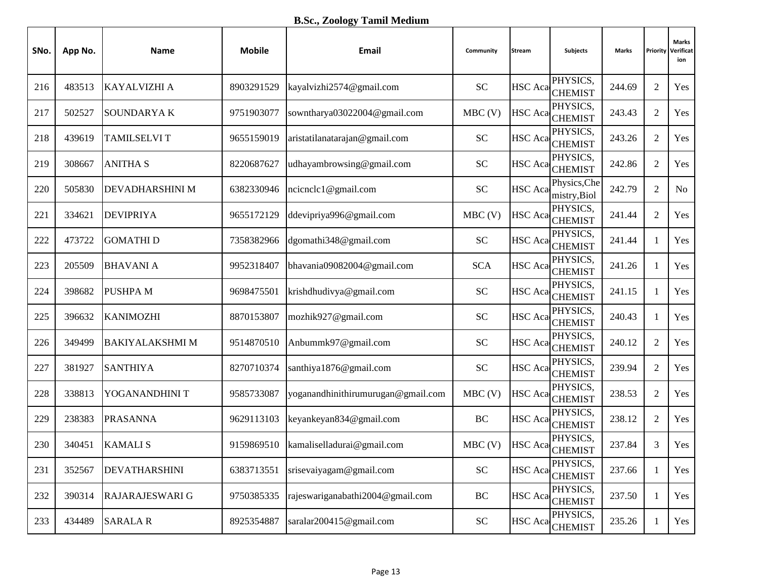| SNo. | App No. | Name                   | <b>Mobile</b> | Email                              | Community  | <b>Stream</b>  | <b>Subjects</b>              | Marks  | Priority       | <b>Marks</b><br>Verificat<br>ion |
|------|---------|------------------------|---------------|------------------------------------|------------|----------------|------------------------------|--------|----------------|----------------------------------|
| 216  | 483513  | KAYALVIZHI A           | 8903291529    | kayalvizhi2574@gmail.com           | <b>SC</b>  | <b>HSC</b> Aca | PHYSICS,<br><b>CHEMIST</b>   | 244.69 | $\overline{2}$ | Yes                              |
| 217  | 502527  | <b>SOUNDARYAK</b>      | 9751903077    | sowntharya03022004@gmail.com       | $MBC$ (V)  | HSC Aca        | PHYSICS,<br><b>CHEMIST</b>   | 243.43 | $\mathfrak{2}$ | Yes                              |
| 218  | 439619  | <b>TAMILSELVIT</b>     | 9655159019    | aristatilanatarajan@gmail.com      | <b>SC</b>  | HSC Aca        | PHYSICS,<br><b>CHEMIST</b>   | 243.26 | $\overline{2}$ | Yes                              |
| 219  | 308667  | <b>ANITHA S</b>        | 8220687627    | udhayambrowsing@gmail.com          | <b>SC</b>  | <b>HSC</b> Aca | PHYSICS,<br><b>CHEMIST</b>   | 242.86 | $\overline{2}$ | Yes                              |
| 220  | 505830  | <b>DEVADHARSHINI M</b> | 6382330946    | ncicnclc1@gmail.com                | <b>SC</b>  | <b>HSC</b> Aca | Physics, Che<br>mistry, Biol | 242.79 | $\sqrt{2}$     | N <sub>o</sub>                   |
| 221  | 334621  | <b>DEVIPRIYA</b>       | 9655172129    | ddevipriya996@gmail.com            | $MBC$ (V)  |                | PHYSICS,<br>HSC Aca CHEMIST  | 241.44 | $\overline{2}$ | Yes                              |
| 222  | 473722  | <b>GOMATHID</b>        | 7358382966    | dgomathi348@gmail.com              | <b>SC</b>  | <b>HSC</b> Aca | PHYSICS,<br><b>CHEMIST</b>   | 241.44 | $\mathbf{1}$   | Yes                              |
| 223  | 205509  | <b>BHAVANI A</b>       | 9952318407    | bhavania09082004@gmail.com         | <b>SCA</b> | <b>HSC</b> Aca | PHYSICS.<br><b>CHEMIST</b>   | 241.26 | $\mathbf{1}$   | Yes                              |
| 224  | 398682  | <b>PUSHPA M</b>        | 9698475501    | krishdhudivya@gmail.com            | <b>SC</b>  | <b>HSC</b> Aca | PHYSICS,<br><b>CHEMIST</b>   | 241.15 | 1              | Yes                              |
| 225  | 396632  | <b>KANIMOZHI</b>       | 8870153807    | mozhik927@gmail.com                | <b>SC</b>  | <b>HSC</b> Aca | PHYSICS,<br><b>CHEMIST</b>   | 240.43 | $\mathbf{1}$   | Yes                              |
| 226  | 349499  | <b>BAKIYALAKSHMI M</b> | 9514870510    | Anbummk97@gmail.com                | <b>SC</b>  |                | PHYSICS,<br>HSC Aca CHEMIST  | 240.12 | $\overline{2}$ | Yes                              |
| 227  | 381927  | <b>SANTHIYA</b>        | 8270710374    | santhiya1876@gmail.com             | <b>SC</b>  | HSC Aca        | PHYSICS,<br><b>CHEMIST</b>   | 239.94 | $\overline{2}$ | Yes                              |
| 228  | 338813  | YOGANANDHINI T         | 9585733087    | yoganandhinithirumurugan@gmail.com | $MBC$ (V)  | HSC Aca        | PHYSICS,<br><b>CHEMIST</b>   | 238.53 | $\overline{2}$ | Yes                              |
| 229  | 238383  | <b>PRASANNA</b>        | 9629113103    | keyankeyan834@gmail.com            | BC         | HSC Aca        | PHYSICS,<br><b>CHEMIST</b>   | 238.12 | $\overline{c}$ | Yes                              |
| 230  | 340451  | <b>KAMALIS</b>         | 9159869510    | kamaliselladurai@gmail.com         | $MBC$ (V)  | <b>HSC</b> Aca | PHYSICS,<br><b>CHEMIST</b>   | 237.84 | 3              | Yes                              |
| 231  | 352567  | <b>DEVATHARSHINI</b>   | 6383713551    | srisevaiyagam@gmail.com            | <b>SC</b>  | <b>HSC</b> Aca | PHYSICS,<br><b>CHEMIST</b>   | 237.66 | $\mathbf{1}$   | Yes                              |
| 232  | 390314  | <b>RAJARAJESWARI G</b> | 9750385335    | rajeswariganabathi2004@gmail.com   | BC         | <b>HSC</b> Aca | PHYSICS,<br><b>CHEMIST</b>   | 237.50 | 1              | Yes                              |
| 233  | 434489  | <b>SARALA R</b>        | 8925354887    | saralar200415@gmail.com            | ${\rm SC}$ |                | PHYSICS,<br>HSC Aca CHEMIST  | 235.26 | $\mathbf{1}$   | Yes                              |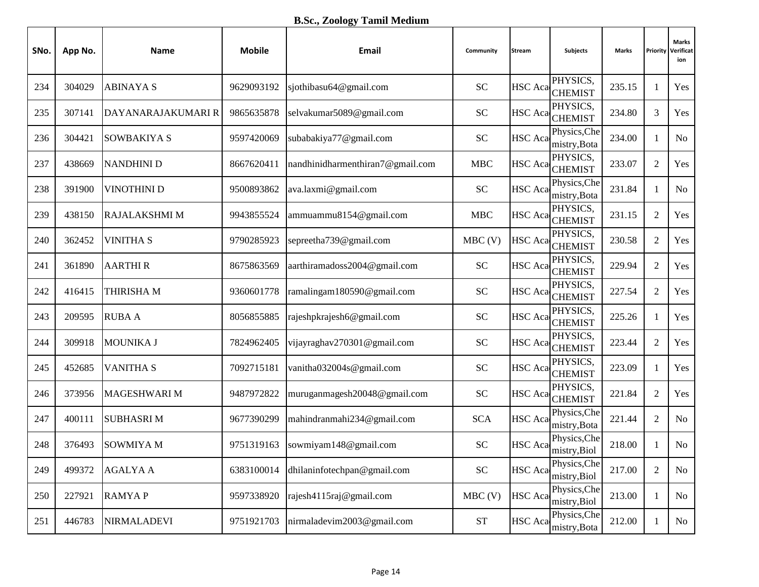**B.Sc., Zoology Tamil Medium**

| SNo. | App No. | Name                | <b>Mobile</b> | Email                            | Community  | <b>Stream</b>  | <b>Subjects</b>              | Marks  | Priority       | <b>Marks</b><br>Verificat<br>ion |
|------|---------|---------------------|---------------|----------------------------------|------------|----------------|------------------------------|--------|----------------|----------------------------------|
| 234  | 304029  | <b>ABINAYA S</b>    | 9629093192    | sjothibasu64@gmail.com           | <b>SC</b>  | <b>HSC</b> Aca | PHYSICS,<br><b>CHEMIST</b>   | 235.15 | 1              | Yes                              |
| 235  | 307141  | DAYANARAJAKUMARI R  | 9865635878    | selvakumar5089@gmail.com         | <b>SC</b>  |                | PHYSICS,<br>HSC Aca CHEMIST  | 234.80 | 3              | Yes                              |
| 236  | 304421  | <b>SOWBAKIYA S</b>  | 9597420069    | subabakiya77@gmail.com           | <b>SC</b>  | <b>HSC</b> Aca | Physics, Che<br>mistry, Bota | 234.00 | $\mathbf{1}$   | N <sub>o</sub>                   |
| 237  | 438669  | <b>NANDHINI D</b>   | 8667620411    | nandhinidharmenthiran7@gmail.com | <b>MBC</b> | <b>HSC</b> Aca | PHYSICS,<br><b>CHEMIST</b>   | 233.07 | $\overline{2}$ | Yes                              |
| 238  | 391900  | <b>VINOTHINI D</b>  | 9500893862    | ava.laxmi@gmail.com              | <b>SC</b>  | <b>HSC</b> Aca | Physics, Che<br>mistry, Bota | 231.84 | $\mathbf{1}$   | N <sub>o</sub>                   |
| 239  | 438150  | RAJALAKSHMI M       | 9943855524    | ammuammu8154@gmail.com           | <b>MBC</b> |                | PHYSICS,<br>HSC Aca CHEMIST  | 231.15 | $\overline{2}$ | Yes                              |
| 240  | 362452  | <b>VINITHA S</b>    | 9790285923    | sepreetha739@gmail.com           | $MBC$ (V)  |                | PHYSICS,<br>HSC Aca CHEMIST  | 230.58 | $\overline{c}$ | Yes                              |
| 241  | 361890  | <b>AARTHIR</b>      | 8675863569    | aarthiramadoss2004@gmail.com     | <b>SC</b>  | <b>HSC</b> Aca | PHYSICS,<br><b>CHEMIST</b>   | 229.94 | $\overline{2}$ | Yes                              |
| 242  | 416415  | THIRISHA M          | 9360601778    | ramalingam180590@gmail.com       | <b>SC</b>  |                | PHYSICS,<br>HSC Aca CHEMIST  | 227.54 | $\overline{2}$ | Yes                              |
| 243  | 209595  | <b>RUBA A</b>       | 8056855885    | rajeshpkrajesh6@gmail.com        | <b>SC</b>  | <b>HSC</b> Aca | PHYSICS,<br><b>CHEMIST</b>   | 225.26 | $\mathbf{1}$   | Yes                              |
| 244  | 309918  | <b>MOUNIKA J</b>    | 7824962405    | vijayraghav270301@gmail.com      | <b>SC</b>  |                | PHYSICS,<br>HSC Aca CHEMIST  | 223.44 | $\overline{2}$ | Yes                              |
| 245  | 452685  | VANITHA S           | 7092715181    | vanitha032004s@gmail.com         | <b>SC</b>  | <b>HSC</b> Aca | PHYSICS,<br><b>CHEMIST</b>   | 223.09 | $\mathbf{1}$   | Yes                              |
| 246  | 373956  | <b>MAGESHWARI M</b> | 9487972822    | muruganmagesh20048@gmail.com     | <b>SC</b>  | <b>HSC</b> Aca | PHYSICS,<br><b>CHEMIST</b>   | 221.84 | $\sqrt{2}$     | Yes                              |
| 247  | 400111  | <b>SUBHASRIM</b>    | 9677390299    | mahindranmahi234@gmail.com       | <b>SCA</b> | HSC Aca        | Physics, Che<br>mistry, Bota | 221.44 | $\mathfrak{2}$ | N <sub>o</sub>                   |
| 248  | 376493  | <b>SOWMIYA M</b>    | 9751319163    | sowmiyam148@gmail.com            | <b>SC</b>  | HSC Aca        | Physics, Che<br>mistry, Biol | 218.00 | 1              | N <sub>o</sub>                   |
| 249  | 499372  | <b>AGALYA A</b>     | 6383100014    | dhilaninfotechpan@gmail.com      | <b>SC</b>  | <b>HSC</b> Aca | Physics, Che<br>mistry, Biol | 217.00 | $\overline{c}$ | No                               |
| 250  | 227921  | <b>RAMYAP</b>       | 9597338920    | rajesh4115raj@gmail.com          | $MBC$ (V)  | <b>HSC</b> Aca | Physics, Che<br>mistry, Biol | 213.00 | $\mathbf{1}$   | No                               |
| 251  | 446783  | NIRMALADEVI         | 9751921703    | nirmaladevim2003@gmail.com       | <b>ST</b>  | <b>HSC</b> Aca | Physics, Che<br>mistry, Bota | 212.00 | $\mathbf{1}$   | No                               |